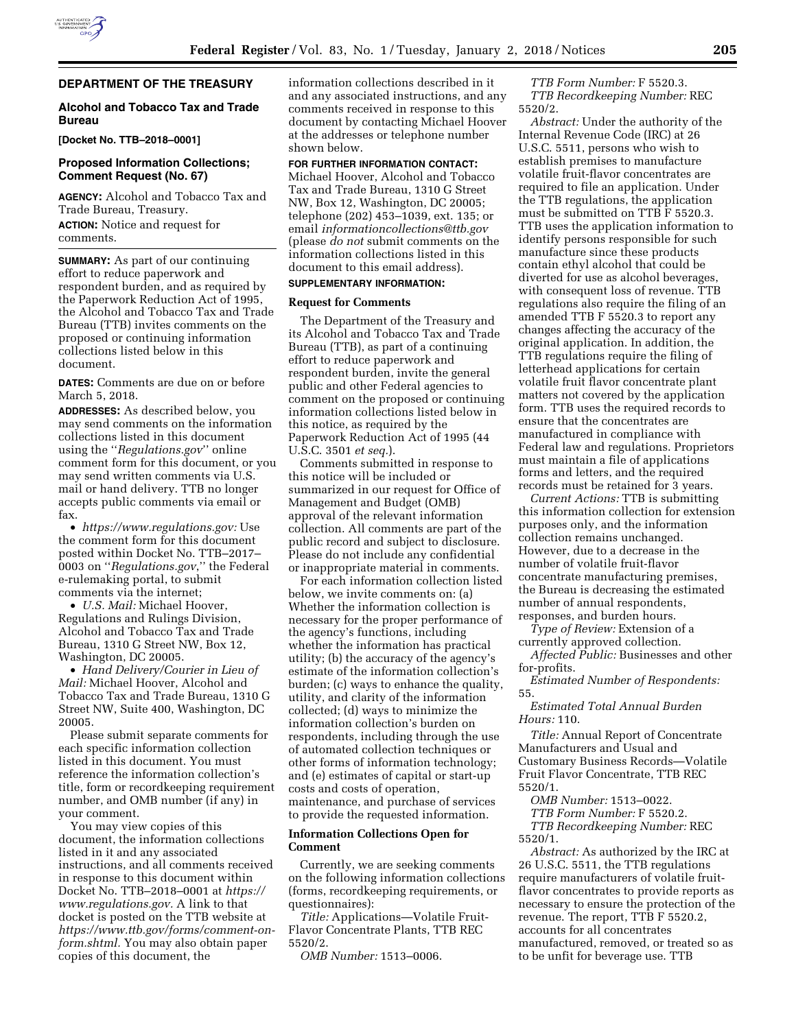# **DEPARTMENT OF THE TREASURY**

### **Alcohol and Tobacco Tax and Trade Bureau**

**[Docket No. TTB–2018–0001]** 

## **Proposed Information Collections; Comment Request (No. 67)**

**AGENCY:** Alcohol and Tobacco Tax and Trade Bureau, Treasury. **ACTION:** Notice and request for comments.

**SUMMARY:** As part of our continuing effort to reduce paperwork and respondent burden, and as required by the Paperwork Reduction Act of 1995, the Alcohol and Tobacco Tax and Trade Bureau (TTB) invites comments on the proposed or continuing information collections listed below in this document.

**DATES:** Comments are due on or before March 5, 2018.

**ADDRESSES:** As described below, you may send comments on the information collections listed in this document using the ''*Regulations.gov*'' online comment form for this document, or you may send written comments via U.S. mail or hand delivery. TTB no longer accepts public comments via email or fax.

• *[https://www.regulations.gov:](https://www.regulations.gov)* Use the comment form for this document posted within Docket No. TTB–2017– 0003 on ''*Regulations.gov*,'' the Federal e-rulemaking portal, to submit comments via the internet;

• *U.S. Mail:* Michael Hoover, Regulations and Rulings Division, Alcohol and Tobacco Tax and Trade Bureau, 1310 G Street NW, Box 12, Washington, DC 20005.

• *Hand Delivery/Courier in Lieu of Mail:* Michael Hoover, Alcohol and Tobacco Tax and Trade Bureau, 1310 G Street NW, Suite 400, Washington, DC 20005.

Please submit separate comments for each specific information collection listed in this document. You must reference the information collection's title, form or recordkeeping requirement number, and OMB number (if any) in your comment.

You may view copies of this document, the information collections listed in it and any associated instructions, and all comments received in response to this document within Docket No. TTB–2018–0001 at *[https://](https://www.regulations.gov) [www.regulations.gov.](https://www.regulations.gov)* A link to that docket is posted on the TTB website at *[https://www.ttb.gov/forms/comment-on](https://www.ttb.gov/forms/comment-on-form.shtml)[form.shtml.](https://www.ttb.gov/forms/comment-on-form.shtml)* You may also obtain paper copies of this document, the

information collections described in it and any associated instructions, and any comments received in response to this document by contacting Michael Hoover at the addresses or telephone number shown below.

#### **FOR FURTHER INFORMATION CONTACT:**

Michael Hoover, Alcohol and Tobacco Tax and Trade Bureau, 1310 G Street NW, Box 12, Washington, DC 20005; telephone (202) 453–1039, ext. 135; or email *[informationcollections@ttb.gov](mailto:informationcollections@ttb.gov)*  (please *do not* submit comments on the information collections listed in this document to this email address).

# **SUPPLEMENTARY INFORMATION:**

#### **Request for Comments**

The Department of the Treasury and its Alcohol and Tobacco Tax and Trade Bureau (TTB), as part of a continuing effort to reduce paperwork and respondent burden, invite the general public and other Federal agencies to comment on the proposed or continuing information collections listed below in this notice, as required by the Paperwork Reduction Act of 1995 (44 U.S.C. 3501 *et seq.*).

Comments submitted in response to this notice will be included or summarized in our request for Office of Management and Budget (OMB) approval of the relevant information collection. All comments are part of the public record and subject to disclosure. Please do not include any confidential or inappropriate material in comments.

For each information collection listed below, we invite comments on: (a) Whether the information collection is necessary for the proper performance of the agency's functions, including whether the information has practical utility; (b) the accuracy of the agency's estimate of the information collection's burden; (c) ways to enhance the quality, utility, and clarity of the information collected; (d) ways to minimize the information collection's burden on respondents, including through the use of automated collection techniques or other forms of information technology; and (e) estimates of capital or start-up costs and costs of operation, maintenance, and purchase of services to provide the requested information.

### **Information Collections Open for Comment**

Currently, we are seeking comments on the following information collections (forms, recordkeeping requirements, or questionnaires):

*Title:* Applications—Volatile Fruit-Flavor Concentrate Plants, TTB REC 5520/2.

*OMB Number:* 1513–0006.

*TTB Form Number:* F 5520.3. *TTB Recordkeeping Number:* REC 5520/2.

*Abstract:* Under the authority of the Internal Revenue Code (IRC) at 26 U.S.C. 5511, persons who wish to establish premises to manufacture volatile fruit-flavor concentrates are required to file an application. Under the TTB regulations, the application must be submitted on TTB F 5520.3. TTB uses the application information to identify persons responsible for such manufacture since these products contain ethyl alcohol that could be diverted for use as alcohol beverages, with consequent loss of revenue. TTB regulations also require the filing of an amended TTB F 5520.3 to report any changes affecting the accuracy of the original application. In addition, the TTB regulations require the filing of letterhead applications for certain volatile fruit flavor concentrate plant matters not covered by the application form. TTB uses the required records to ensure that the concentrates are manufactured in compliance with Federal law and regulations. Proprietors must maintain a file of applications forms and letters, and the required records must be retained for 3 years.

*Current Actions:* TTB is submitting this information collection for extension purposes only, and the information collection remains unchanged. However, due to a decrease in the number of volatile fruit-flavor concentrate manufacturing premises, the Bureau is decreasing the estimated number of annual respondents, responses, and burden hours.

*Type of Review:* Extension of a currently approved collection.

*Affected Public:* Businesses and other for-profits.

*Estimated Number of Respondents:*  55.

*Estimated Total Annual Burden Hours:* 110.

*Title:* Annual Report of Concentrate Manufacturers and Usual and Customary Business Records—Volatile Fruit Flavor Concentrate, TTB REC 5520/1.

*OMB Number:* 1513–0022.

*TTB Form Number:* F 5520.2. *TTB Recordkeeping Number:* REC

5520/1.

*Abstract:* As authorized by the IRC at 26 U.S.C. 5511, the TTB regulations require manufacturers of volatile fruitflavor concentrates to provide reports as necessary to ensure the protection of the revenue. The report, TTB F 5520.2, accounts for all concentrates manufactured, removed, or treated so as to be unfit for beverage use. TTB